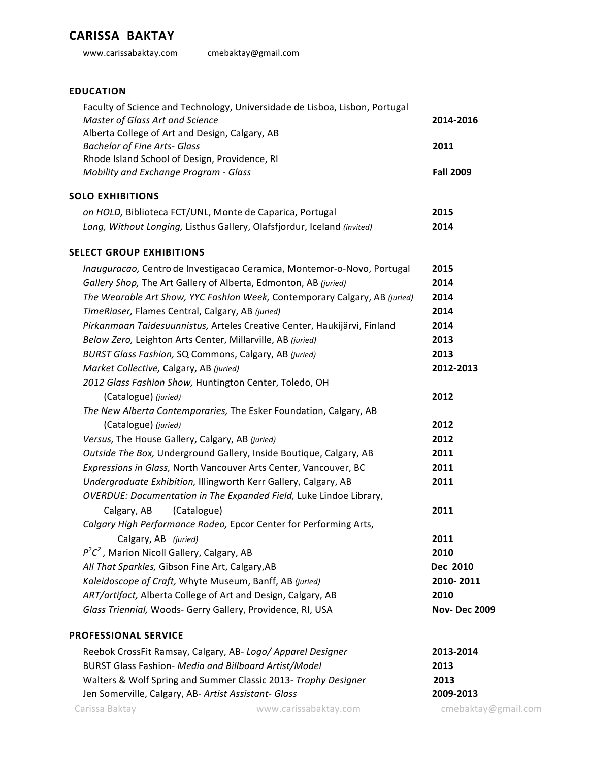## **CARISSA BAKTAY**

www.carissabaktay.com cmebaktay@gmail.com

## **EDUCATION**

| Faculty of Science and Technology, Universidade de Lisboa, Lisbon, Portugal<br>Master of Glass Art and Science | 2014-2016           |
|----------------------------------------------------------------------------------------------------------------|---------------------|
| Alberta College of Art and Design, Calgary, AB<br><b>Bachelor of Fine Arts- Glass</b>                          | 2011                |
| Rhode Island School of Design, Providence, RI                                                                  |                     |
| Mobility and Exchange Program - Glass                                                                          | <b>Fall 2009</b>    |
| <b>SOLO EXHIBITIONS</b>                                                                                        |                     |
| on HOLD, Biblioteca FCT/UNL, Monte de Caparica, Portugal                                                       | 2015                |
| Long, Without Longing, Listhus Gallery, Olafsfjordur, Iceland (invited)                                        | 2014                |
| <b>SELECT GROUP EXHIBITIONS</b>                                                                                |                     |
| Inauguracao, Centro de Investigacao Ceramica, Montemor-o-Novo, Portugal                                        | 2015                |
| Gallery Shop, The Art Gallery of Alberta, Edmonton, AB (juried)                                                | 2014                |
| The Wearable Art Show, YYC Fashion Week, Contemporary Calgary, AB (juried)                                     | 2014                |
| TimeRiaser, Flames Central, Calgary, AB (juried)                                                               | 2014                |
| Pirkanmaan Taidesuunnistus, Arteles Creative Center, Haukijärvi, Finland                                       | 2014                |
| Below Zero, Leighton Arts Center, Millarville, AB (juried)                                                     | 2013                |
| BURST Glass Fashion, SQ Commons, Calgary, AB (juried)                                                          | 2013                |
| Market Collective, Calgary, AB (juried)                                                                        | 2012-2013           |
| 2012 Glass Fashion Show, Huntington Center, Toledo, OH                                                         |                     |
| (Catalogue) (juried)                                                                                           | 2012                |
| The New Alberta Contemporaries, The Esker Foundation, Calgary, AB                                              |                     |
| (Catalogue) (juried)                                                                                           | 2012                |
| Versus, The House Gallery, Calgary, AB (juried)                                                                | 2012                |
| Outside The Box, Underground Gallery, Inside Boutique, Calgary, AB                                             | 2011                |
| Expressions in Glass, North Vancouver Arts Center, Vancouver, BC                                               | 2011                |
| Undergraduate Exhibition, Illingworth Kerr Gallery, Calgary, AB                                                | 2011                |
| OVERDUE: Documentation in The Expanded Field, Luke Lindoe Library,                                             |                     |
| Calgary, AB<br>(Catalogue)                                                                                     | 2011                |
| Calgary High Performance Rodeo, Epcor Center for Performing Arts,                                              |                     |
| Calgary, AB (juried)                                                                                           | 2011                |
| $P^2C^2$ , Marion Nicoll Gallery, Calgary, AB                                                                  | 2010                |
| All That Sparkles, Gibson Fine Art, Calgary, AB                                                                | Dec 2010            |
| Kaleidoscope of Craft, Whyte Museum, Banff, AB (juried)                                                        | 2010-2011           |
| ART/artifact, Alberta College of Art and Design, Calgary, AB                                                   | 2010                |
| Glass Triennial, Woods- Gerry Gallery, Providence, RI, USA                                                     | <b>Nov-Dec 2009</b> |
| <b>PROFESSIONAL SERVICE</b>                                                                                    |                     |
| Reebok CrossFit Ramsay, Calgary, AB-Logo/Apparel Designer                                                      | 2013-2014           |
| BURST Glass Fashion- Media and Billboard Artist/Model                                                          | 2013                |
|                                                                                                                |                     |

Walters & Wolf Spring and Summer Classic 2013- *Trophy Designer* **2013** Jen Somerville, Calgary, AB- Artist Assistant- Glass **1998-1009-2013** 

Carissa Baktay **www.carissabaktay.com** cmebaktay@gmail.com